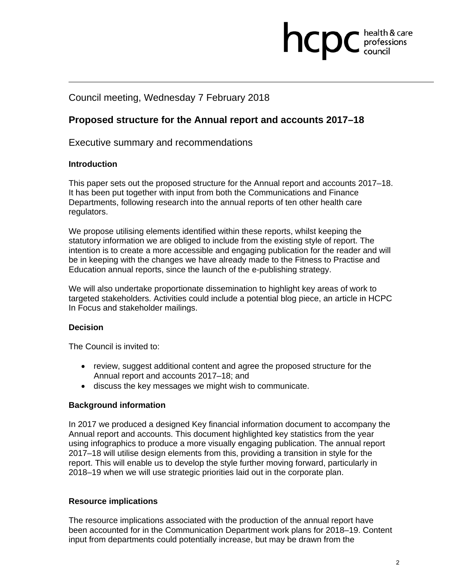# **health & care**

### Council meeting, Wednesday 7 February 2018

### **Proposed structure for the Annual report and accounts 2017–18**

Executive summary and recommendations

### **Introduction**

This paper sets out the proposed structure for the Annual report and accounts 2017–18. It has been put together with input from both the Communications and Finance Departments, following research into the annual reports of ten other health care regulators.

We propose utilising elements identified within these reports, whilst keeping the statutory information we are obliged to include from the existing style of report. The intention is to create a more accessible and engaging publication for the reader and will be in keeping with the changes we have already made to the Fitness to Practise and Education annual reports, since the launch of the e-publishing strategy.

We will also undertake proportionate dissemination to highlight key areas of work to targeted stakeholders. Activities could include a potential blog piece, an article in HCPC In Focus and stakeholder mailings.

### **Decision**

The Council is invited to:

- review, suggest additional content and agree the proposed structure for the Annual report and accounts 2017–18; and
- discuss the key messages we might wish to communicate.

### **Background information**

In 2017 we produced a designed Key financial information document to accompany the Annual report and accounts. This document highlighted key statistics from the year using infographics to produce a more visually engaging publication. The annual report 2017–18 will utilise design elements from this, providing a transition in style for the report. This will enable us to develop the style further moving forward, particularly in 2018–19 when we will use strategic priorities laid out in the corporate plan.

### **Resource implications**

The resource implications associated with the production of the annual report have been accounted for in the Communication Department work plans for 2018–19. Content input from departments could potentially increase, but may be drawn from the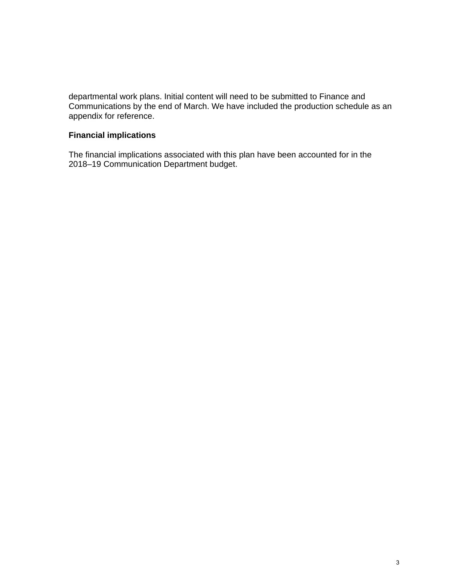departmental work plans. Initial content will need to be submitted to Finance and Communications by the end of March. We have included the production schedule as an appendix for reference.

#### **Financial implications**

The financial implications associated with this plan have been accounted for in the 2018–19 Communication Department budget.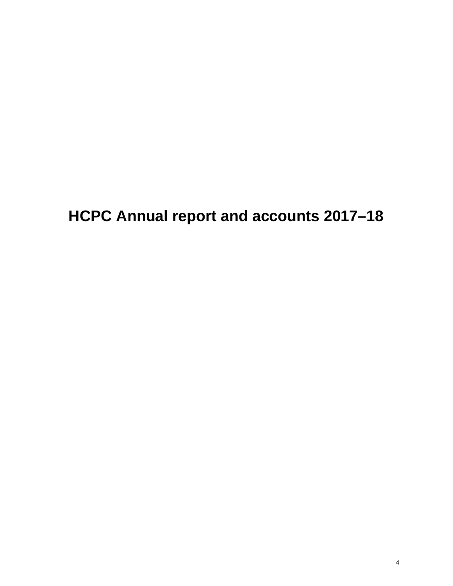**HCPC Annual report and accounts 2017–18**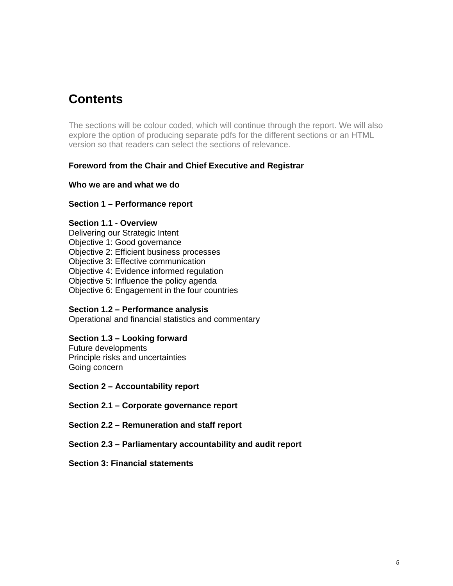## **Contents**

The sections will be colour coded, which will continue through the report. We will also explore the option of producing separate pdfs for the different sections or an HTML version so that readers can select the sections of relevance.

### **Foreword from the Chair and Chief Executive and Registrar**

### **Who we are and what we do**

### **Section 1 – Performance report**

#### **Section 1.1 - Overview**

Delivering our Strategic Intent Objective 1: Good governance Objective 2: Efficient business processes Objective 3: Effective communication Objective 4: Evidence informed regulation Objective 5: Influence the policy agenda

Objective 6: Engagement in the four countries

### **Section 1.2 – Performance analysis**

Operational and financial statistics and commentary

### **Section 1.3 – Looking forward**

Future developments Principle risks and uncertainties Going concern

**Section 2 – Accountability report** 

**Section 2.1 – Corporate governance report** 

**Section 2.2 – Remuneration and staff report** 

**Section 2.3 – Parliamentary accountability and audit report** 

#### **Section 3: Financial statements**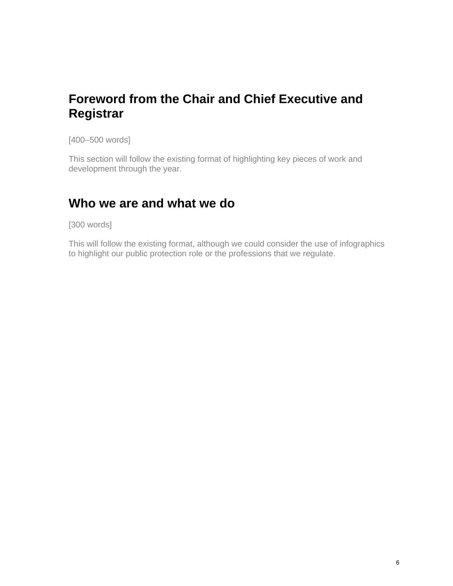# **Foreword from the Chair and Chief Executive and Registrar**

[400–500 words]

This section will follow the existing format of highlighting key pieces of work and development through the year.

### **Who we are and what we do**

[300 words]

This will follow the existing format, although we could consider the use of infographics to highlight our public protection role or the professions that we regulate.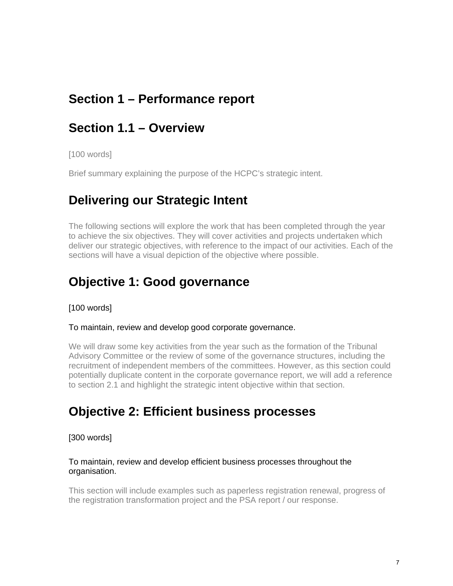# **Section 1 – Performance report**

### **Section 1.1 – Overview**

[100 words]

Brief summary explaining the purpose of the HCPC's strategic intent.

### **Delivering our Strategic Intent**

The following sections will explore the work that has been completed through the year to achieve the six objectives. They will cover activities and projects undertaken which deliver our strategic objectives, with reference to the impact of our activities. Each of the sections will have a visual depiction of the objective where possible.

### **Objective 1: Good governance**

[100 words]

#### To maintain, review and develop good corporate governance.

We will draw some key activities from the year such as the formation of the Tribunal Advisory Committee or the review of some of the governance structures, including the recruitment of independent members of the committees. However, as this section could potentially duplicate content in the corporate governance report, we will add a reference to section 2.1 and highlight the strategic intent objective within that section.

### **Objective 2: Efficient business processes**

### [300 words]

#### To maintain, review and develop efficient business processes throughout the organisation.

This section will include examples such as paperless registration renewal, progress of the registration transformation project and the PSA report / our response.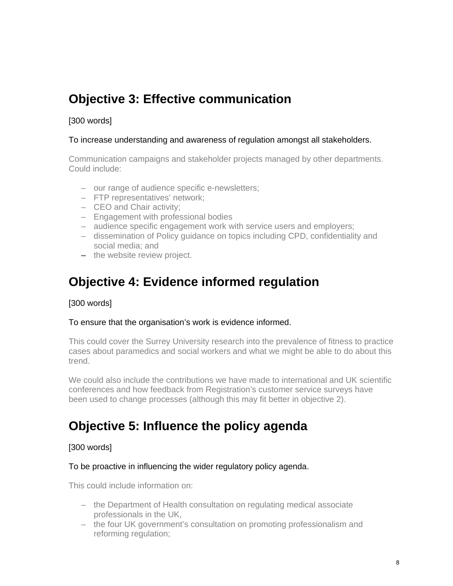# **Objective 3: Effective communication**

### [300 words]

### To increase understanding and awareness of regulation amongst all stakeholders.

Communication campaigns and stakeholder projects managed by other departments. Could include:

- our range of audience specific e-newsletters;
- FTP representatives' network;
- CEO and Chair activity;
- Engagement with professional bodies
- audience specific engagement work with service users and employers;
- dissemination of Policy guidance on topics including CPD, confidentiality and social media; and
- the website review project.

# **Objective 4: Evidence informed regulation**

### [300 words]

### To ensure that the organisation's work is evidence informed.

This could cover the Surrey University research into the prevalence of fitness to practice cases about paramedics and social workers and what we might be able to do about this trend.

We could also include the contributions we have made to international and UK scientific conferences and how feedback from Registration's customer service surveys have been used to change processes (although this may fit better in objective 2).

# **Objective 5: Influence the policy agenda**

### [300 words]

### To be proactive in influencing the wider regulatory policy agenda.

This could include information on:

- the Department of Health consultation on regulating medical associate professionals in the UK,
- the four UK government's consultation on promoting professionalism and reforming regulation;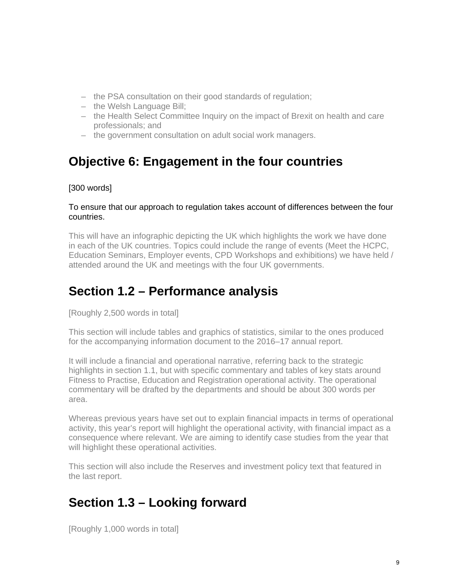- the PSA consultation on their good standards of regulation;
- the Welsh Language Bill;
- the Health Select Committee Inquiry on the impact of Brexit on health and care professionals; and
- the government consultation on adult social work managers.

# **Objective 6: Engagement in the four countries**

### [300 words]

### To ensure that our approach to regulation takes account of differences between the four countries.

This will have an infographic depicting the UK which highlights the work we have done in each of the UK countries. Topics could include the range of events (Meet the HCPC, Education Seminars, Employer events, CPD Workshops and exhibitions) we have held / attended around the UK and meetings with the four UK governments.

# **Section 1.2 – Performance analysis**

[Roughly 2,500 words in total]

This section will include tables and graphics of statistics, similar to the ones produced for the accompanying information document to the 2016–17 annual report.

It will include a financial and operational narrative, referring back to the strategic highlights in section 1.1, but with specific commentary and tables of key stats around Fitness to Practise, Education and Registration operational activity. The operational commentary will be drafted by the departments and should be about 300 words per area.

Whereas previous years have set out to explain financial impacts in terms of operational activity, this year's report will highlight the operational activity, with financial impact as a consequence where relevant. We are aiming to identify case studies from the year that will highlight these operational activities.

This section will also include the Reserves and investment policy text that featured in the last report.

# **Section 1.3 – Looking forward**

[Roughly 1,000 words in total]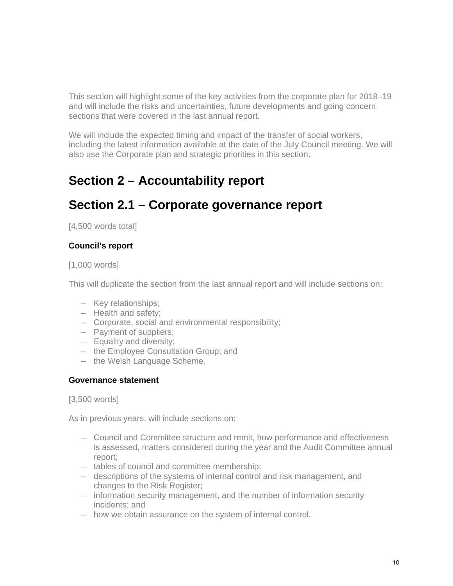This section will highlight some of the key activities from the corporate plan for 2018–19 and will include the risks and uncertainties, future developments and going concern sections that were covered in the last annual report.

We will include the expected timing and impact of the transfer of social workers, including the latest information available at the date of the July Council meeting. We will also use the Corporate plan and strategic priorities in this section.

# **Section 2 – Accountability report**

# **Section 2.1 – Corporate governance report**

[4,500 words total]

### **Council's report**

[1,000 words]

This will duplicate the section from the last annual report and will include sections on:

- Key relationships;
- Health and safety;
- Corporate, social and environmental responsibility;
- Payment of suppliers;
- Equality and diversity;
- the Employee Consultation Group; and
- the Welsh Language Scheme.

### **Governance statement**

[3,500 words]

As in previous years, will include sections on:

- Council and Committee structure and remit, how performance and effectiveness is assessed, matters considered during the year and the Audit Committee annual report;
- tables of council and committee membership;
- descriptions of the systems of internal control and risk management, and changes to the Risk Register;
- information security management, and the number of information security incidents; and
- how we obtain assurance on the system of internal control.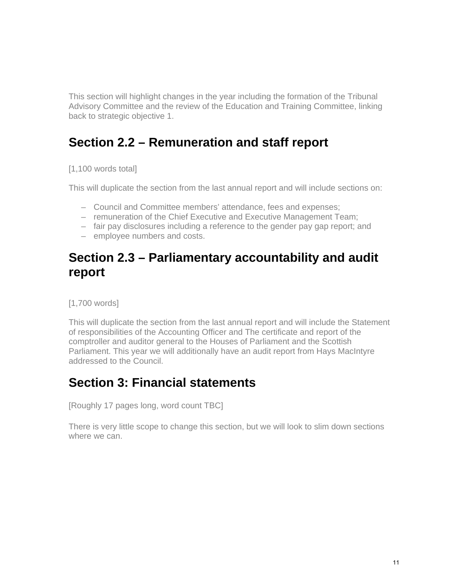This section will highlight changes in the year including the formation of the Tribunal Advisory Committee and the review of the Education and Training Committee, linking back to strategic objective 1.

# **Section 2.2 – Remuneration and staff report**

[1,100 words total]

This will duplicate the section from the last annual report and will include sections on:

- Council and Committee members' attendance, fees and expenses;
- remuneration of the Chief Executive and Executive Management Team;
- fair pay disclosures including a reference to the gender pay gap report; and
- employee numbers and costs.

# **Section 2.3 – Parliamentary accountability and audit report**

[1,700 words]

This will duplicate the section from the last annual report and will include the Statement of responsibilities of the Accounting Officer and The certificate and report of the comptroller and auditor general to the Houses of Parliament and the Scottish Parliament. This year we will additionally have an audit report from Hays MacIntyre addressed to the Council.

# **Section 3: Financial statements**

[Roughly 17 pages long, word count TBC]

There is very little scope to change this section, but we will look to slim down sections where we can.